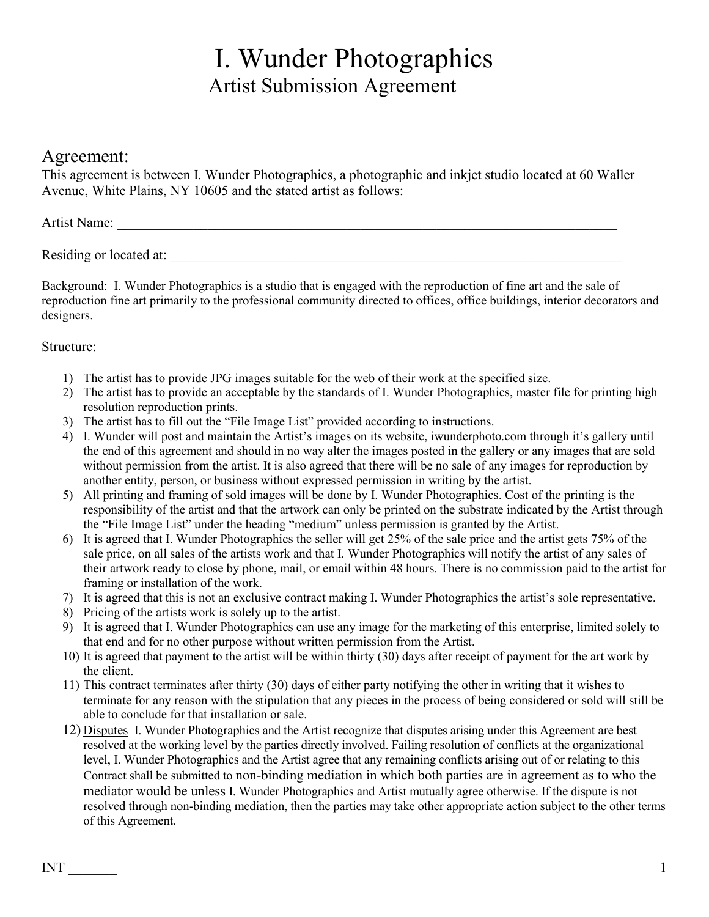# I. Wunder Photographics Artist Submission Agreement

## Agreement:

This agreement is between I. Wunder Photographics, a photographic and inkjet studio located at 60 Waller Avenue, White Plains, NY 10605 and the stated artist as follows:

## Artist Name: \_\_\_\_\_\_\_\_\_\_\_\_\_\_\_\_\_\_\_\_\_\_\_\_\_\_\_\_\_\_\_\_\_\_\_\_\_\_\_\_\_\_\_\_\_\_\_\_\_\_\_\_\_\_\_\_\_\_\_\_\_\_\_\_\_\_\_\_\_\_\_\_

Residing or located at:

Background: I. Wunder Photographics is a studio that is engaged with the reproduction of fine art and the sale of reproduction fine art primarily to the professional community directed to offices, office buildings, interior decorators and designers.

#### Structure:

- 1) The artist has to provide JPG images suitable for the web of their work at the specified size.
- 2) The artist has to provide an acceptable by the standards of I. Wunder Photographics, master file for printing high resolution reproduction prints.
- 3) The artist has to fill out the "File Image List" provided according to instructions.
- 4) I. Wunder will post and maintain the Artist's images on its website, iwunderphoto.com through it's gallery until the end of this agreement and should in no way alter the images posted in the gallery or any images that are sold without permission from the artist. It is also agreed that there will be no sale of any images for reproduction by another entity, person, or business without expressed permission in writing by the artist.
- 5) All printing and framing of sold images will be done by I. Wunder Photographics. Cost of the printing is the responsibility of the artist and that the artwork can only be printed on the substrate indicated by the Artist through the "File Image List" under the heading "medium" unless permission is granted by the Artist.
- 6) It is agreed that I. Wunder Photographics the seller will get 25% of the sale price and the artist gets 75% of the sale price, on all sales of the artists work and that I. Wunder Photographics will notify the artist of any sales of their artwork ready to close by phone, mail, or email within 48 hours. There is no commission paid to the artist for framing or installation of the work.
- 7) It is agreed that this is not an exclusive contract making I. Wunder Photographics the artist's sole representative.
- 8) Pricing of the artists work is solely up to the artist.
- 9) It is agreed that I. Wunder Photographics can use any image for the marketing of this enterprise, limited solely to that end and for no other purpose without written permission from the Artist.
- 10) It is agreed that payment to the artist will be within thirty (30) days after receipt of payment for the art work by the client.
- 11) This contract terminates after thirty (30) days of either party notifying the other in writing that it wishes to terminate for any reason with the stipulation that any pieces in the process of being considered or sold will still be able to conclude for that installation or sale.
- 12) Disputes I. Wunder Photographics and the Artist recognize that disputes arising under this Agreement are best resolved at the working level by the parties directly involved. Failing resolution of conflicts at the organizational level, I. Wunder Photographics and the Artist agree that any remaining conflicts arising out of or relating to this Contract shall be submitted to non-binding mediation in which both parties are in agreement as to who the mediator would be unless I. Wunder Photographics and Artist mutually agree otherwise. If the dispute is not resolved through non-binding mediation, then the parties may take other appropriate action subject to the other terms of this Agreement.